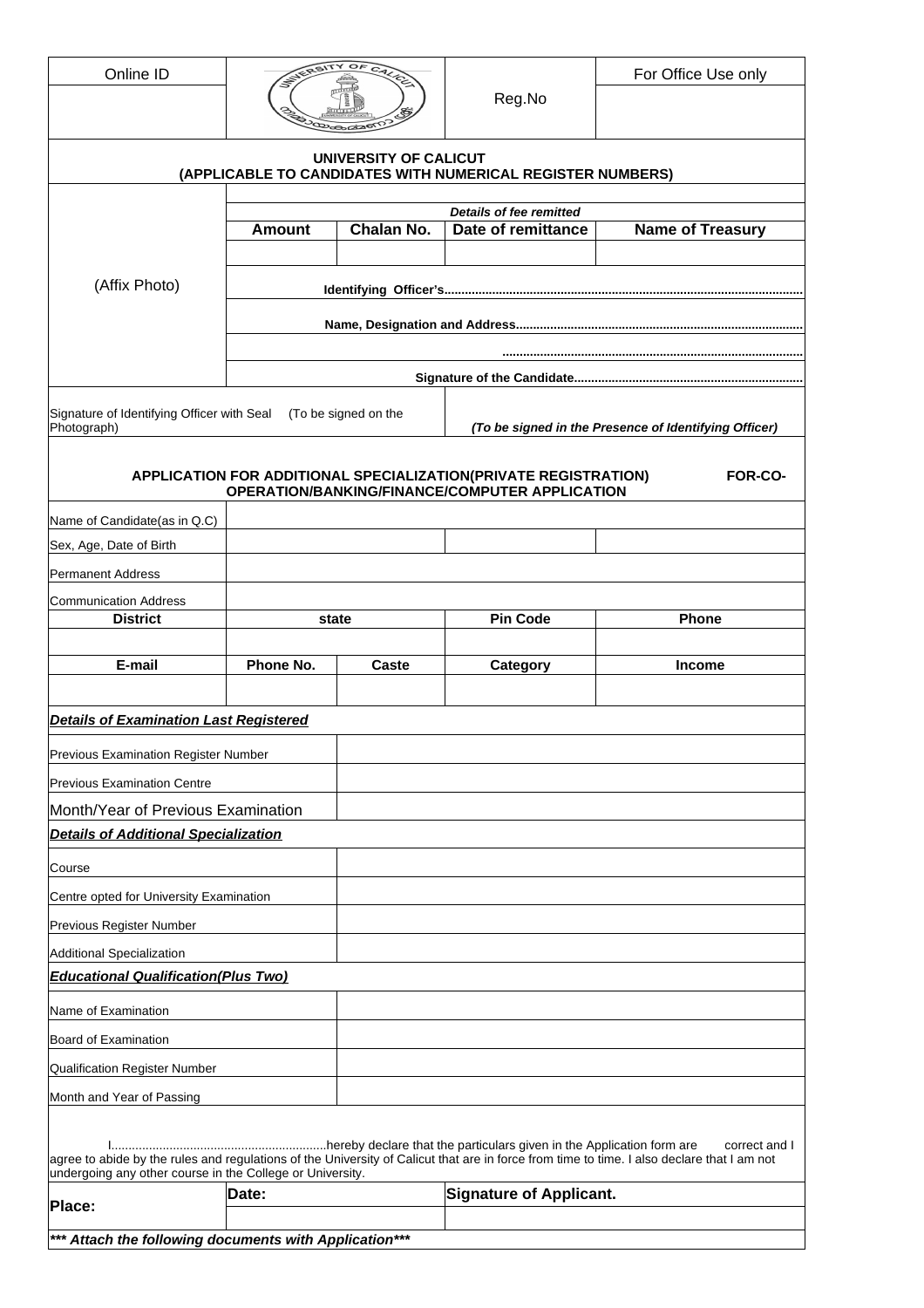| Online ID                                                                                                                                                                                               |                      | OF                                                    |                                                                 | For Office Use only     |  |
|---------------------------------------------------------------------------------------------------------------------------------------------------------------------------------------------------------|----------------------|-------------------------------------------------------|-----------------------------------------------------------------|-------------------------|--|
|                                                                                                                                                                                                         |                      |                                                       | Reg.No                                                          |                         |  |
|                                                                                                                                                                                                         |                      | UNIVERSITY OF CALICUT                                 | (APPLICABLE TO CANDIDATES WITH NUMERICAL REGISTER NUMBERS)      |                         |  |
|                                                                                                                                                                                                         |                      | <b>Details of fee remitted</b>                        |                                                                 |                         |  |
| (Affix Photo)                                                                                                                                                                                           | <b>Amount</b>        | Chalan No.                                            | Date of remittance                                              | <b>Name of Treasury</b> |  |
|                                                                                                                                                                                                         |                      |                                                       |                                                                 |                         |  |
|                                                                                                                                                                                                         |                      |                                                       |                                                                 |                         |  |
|                                                                                                                                                                                                         |                      |                                                       |                                                                 |                         |  |
|                                                                                                                                                                                                         |                      |                                                       |                                                                 |                         |  |
|                                                                                                                                                                                                         |                      |                                                       |                                                                 |                         |  |
| Signature of Identifying Officer with Seal<br>Photograph)                                                                                                                                               | (To be signed on the | (To be signed in the Presence of Identifying Officer) |                                                                 |                         |  |
|                                                                                                                                                                                                         |                      |                                                       | APPLICATION FOR ADDITIONAL SPECIALIZATION(PRIVATE REGISTRATION) | <b>FOR-CO-</b>          |  |
|                                                                                                                                                                                                         |                      |                                                       | <b>OPERATION/BANKING/FINANCE/COMPUTER APPLICATION</b>           |                         |  |
| Name of Candidate(as in Q.C)                                                                                                                                                                            |                      |                                                       |                                                                 |                         |  |
| Sex, Age, Date of Birth                                                                                                                                                                                 |                      |                                                       |                                                                 |                         |  |
| <b>Permanent Address</b>                                                                                                                                                                                |                      |                                                       |                                                                 |                         |  |
| <b>Communication Address</b><br><b>District</b>                                                                                                                                                         | state                |                                                       | <b>Pin Code</b>                                                 | Phone                   |  |
|                                                                                                                                                                                                         |                      |                                                       |                                                                 |                         |  |
| E-mail                                                                                                                                                                                                  | Phone No.            | Caste                                                 | Category                                                        | <b>Income</b>           |  |
| <b>Details of Examination Last Registered</b>                                                                                                                                                           |                      |                                                       |                                                                 |                         |  |
| <b>Previous Examination Register Number</b>                                                                                                                                                             |                      |                                                       |                                                                 |                         |  |
| <b>Previous Examination Centre</b>                                                                                                                                                                      |                      |                                                       |                                                                 |                         |  |
| Month/Year of Previous Examination                                                                                                                                                                      |                      |                                                       |                                                                 |                         |  |
| <b>Details of Additional Specialization</b>                                                                                                                                                             |                      |                                                       |                                                                 |                         |  |
| Course                                                                                                                                                                                                  |                      |                                                       |                                                                 |                         |  |
| Centre opted for University Examination                                                                                                                                                                 |                      |                                                       |                                                                 |                         |  |
| Previous Register Number                                                                                                                                                                                |                      |                                                       |                                                                 |                         |  |
| Additional Specialization                                                                                                                                                                               |                      |                                                       |                                                                 |                         |  |
| <b>Educational Qualification(Plus Two)</b>                                                                                                                                                              |                      |                                                       |                                                                 |                         |  |
| Name of Examination                                                                                                                                                                                     |                      |                                                       |                                                                 |                         |  |
| Board of Examination                                                                                                                                                                                    |                      |                                                       |                                                                 |                         |  |
| Qualification Register Number                                                                                                                                                                           |                      |                                                       |                                                                 |                         |  |
| Month and Year of Passing                                                                                                                                                                               |                      |                                                       |                                                                 |                         |  |
|                                                                                                                                                                                                         |                      |                                                       |                                                                 | correct and I           |  |
| agree to abide by the rules and regulations of the University of Calicut that are in force from time to time. I also declare that I am not<br>undergoing any other course in the College or University. |                      |                                                       |                                                                 |                         |  |
| Date:<br>Place:                                                                                                                                                                                         |                      |                                                       |                                                                 |                         |  |
|                                                                                                                                                                                                         |                      |                                                       | <b>Signature of Applicant.</b>                                  |                         |  |